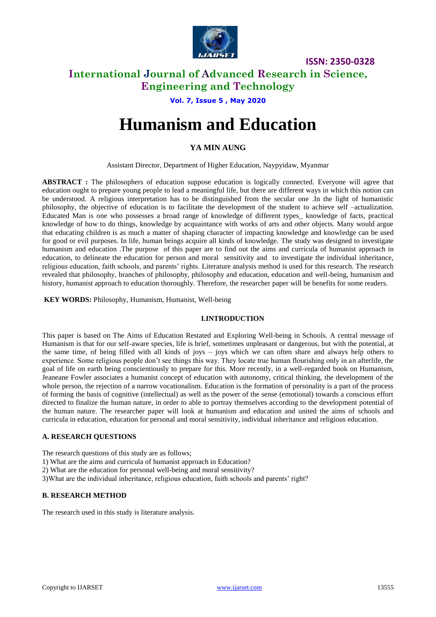

# **International Journal of Advanced Research in Science, Engineering and Technology**

**Vol. 7, Issue 5 , May 2020**

# **Humanism and Education**

### **YA MIN AUNG**

Assistant Director, Department of Higher Education, Naypyidaw, Myanmar

**ABSTRACT :** The philosophers of education suppose education is logically connected. Everyone will agree that education ought to prepare young people to lead a meaningful life, but there are different ways in which this notion can be understood. A religious interpretation has to be distinguished from the secular one .In the light of humanistic philosophy, the objective of education is to facilitate the development of the student to achieve self –actualization. Educated Man is one who possesses a broad range of knowledge of different types\_ knowledge of facts, practical knowledge of how to do things, knowledge by acquaintance with works of arts and other objects. Many would argue that educating children is as much a matter of shaping character of impacting knowledge and knowledge can be used for good or evil purposes. In life, human beings acquire all kinds of knowledge. The study was designed to investigate humanism and education .The purpose of this paper are to find out the aims and curricula of humanist approach in education, to delineate the education for person and moral sensitivity and to investigate the individual inheritance, religious education, faith schools, and parents' rights. Literature analysis method is used for this research. The research revealed that philosophy, branches of philosophy, philosophy and education, education and well-being, humanism and history, humanist approach to education thoroughly. Therefore, the researcher paper will be benefits for some readers.

#### **KEY WORDS:** Philosophy, Humanism, Humanist, Well-being

### **I.INTRODUCTION**

This paper is based on The Aims of Education Restated and Exploring Well-being in Schools. A central message of Humanism is that for our self-aware species, life is brief, sometimes unpleasant or dangerous, but with the potential, at the same time, of being filled with all kinds of joys – joys which we can often share and always help others to experience. Some religious people don't see things this way. They locate true human flourishing only in an afterlife, the goal of life on earth being conscientiously to prepare for this. More recently, in a well-regarded book on Humanism, Jeaneane Fowler associates a humanist concept of education with autonomy, critical thinking, the development of the whole person, the rejection of a narrow vocationalism. Education is the formation of personality is a part of the process of forming the basis of cognitive (intellectual) as well as the power of the sense (emotional) towards a conscious effort directed to finalize the human nature, in order to able to portray themselves according to the development potential of the human nature. The researcher paper will look at humanism and education and united the aims of schools and curricula in education, education for personal and moral sensitivity, individual inheritance and religious education.

#### **A. RESEARCH QUESTIONS**

The research questions of this study are as follows;

1) What are the aims and curricula of humanist approach in Education?

2) What are the education for personal well-being and moral sensitivity?

3)What are the individual inheritance, religious education, faith schools and parents' right?

#### **B. RESEARCH METHOD**

The research used in this study is literature analysis.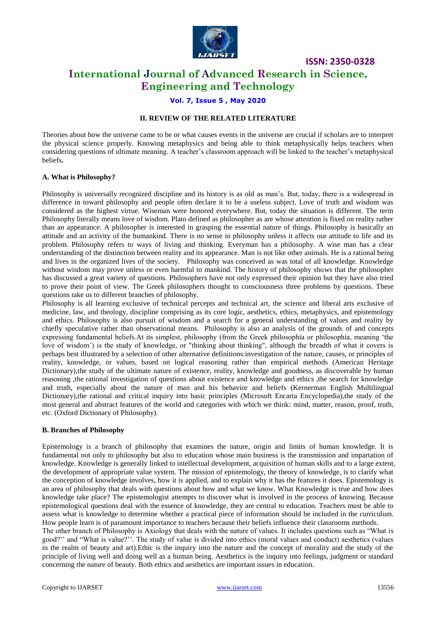

# **International Journal of Advanced Research in Science, Engineering and Technology**

#### **Vol. 7, Issue 5 , May 2020**

#### **II. REVIEW OF THE RELATED LITERATURE**

Theories about how the universe came to be or what causes events in the universe are crucial if scholars are to interpret the physical science properly. Knowing metaphysics and being able to think metaphysically helps teachers when considering questions of ultimate meaning. A teacher's classroom approach will be linked to the teacher's metaphysical beliefs**.**

#### **A. What is Philosophy?**

Philosophy is universally recognized discipline and its history is as old as man's. But, today, there is a widespread in difference in toward philosophy and people often declare it to be a useless subject. Love of truth and wisdom was considered as the highest virtue. Wiseman were honored everywhere. But, today the situation is different. The term Philosophy literally means love of wisdom. Plato defined as philosopher as are whose attention is fixed on reality rather than an appearance. A philosopher is interested in grasping the essential nature of things. Philosophy is basically an attitude and an activity of the humankind. There is no sense in philosophy unless it affects our attitude to life and its problem. Philosophy refers to ways of living and thinking. Everyman has a philosophy. A wise man has a clear understanding of the distinction between reality and its appearance. Man is not like other animals. He is a rational being and lives in the organized lives of the society. Philosophy was conceived as was total of all knowledge. Knowledge without wisdom may prove unless or even harmful to mankind. The history of philosophy shows that the philosopher has discussed a great variety of questions. Philosophers have not only expressed their opinion but they have also tried to prove their point of view. The Greek philosophers thought to consciousness three problems by questions. These questions take us to different branches of philosophy.

Philosophy is all learning exclusive of technical percepts and technical art, the science and liberal arts exclusive of medicine, law, and theology, discipline comprising as its core logic, aesthetics, ethics, metaphysics, and epistemology and ethics. Philosophy is also pursuit of wisdom and a search for a general understanding of values and reality by chiefly speculative rather than observational means. Philosophy is also an analysis of the grounds of and concepts expressing fundamental beliefs.At its simplest, philosophy (from the Greek phílosophía or phílosophía, meaning 'the love of wisdom') is the study of knowledge, or "thinking about thinking", although the breadth of what it covers is perhaps best illustrated by a selection of other alternative definitions:investigation of the nature, causes, or principles of reality, knowledge, or values, based on logical reasoning rather than empirical methods (American Heritage Dictionary),the study of the ultimate nature of existence, reality, knowledge and goodness, as discoverable by human reasoning ,the rational investigation of questions about existence and knowledge and ethics ,the search for knowledge and truth, especially about the nature of man and his behavior and beliefs (Kernerman English Multilingual Dictionary),the rational and critical inquiry into basic principles (Microsoft Encarta Encyclopedia),the study of the most general and abstract features of the world and categories with which we think: mind, matter, reason, proof, truth, etc. (Oxford Dictionary of Philosophy).

#### **B. Branches of Philosophy**

Epistemology is a branch of philosophy that examines the nature, origin and limits of human knowledge. It is fundamental not only to philosophy but also to education whose main business is the transmission and impartation of knowledge. Knowledge is generally linked to intellectual development, acquisition of human skills and to a large extent, the development of appropriate value system. The mission of epistemology, the theory of knowledge, is to clarify what the conception of knowledge involves, how it is applied, and to explain why it has the features it does. Epistemology is an area of philosophy that deals with questions about how and what we know. What Knowledge is true and how does knowledge take place? The epistemologist attempts to discover what is involved in the process of knowing. Because epistemological questions deal with the essence of knowledge, they are central to education. Teachers must be able to assess what is knowledge to determine whether a practical piece of information should be included in the curriculum. How people learn is of paramount importance to teachers because their beliefs influence their classrooms methods.

The other branch of Philosophy is Axiology that deals with the nature of values. It includes questions such as "What is good?'' and "What is value?''. The study of value is divided into ethics (moral values and conduct) aesthetics (values in the realm of beauty and art).Ethic is the inquiry into the nature and the concept of morality and the study of the principle of living well and doing well as a human being. Aesthetics is the inquiry into feelings, judgment or standard concerning the nature of beauty. Both ethics and aesthetics are important issues in education.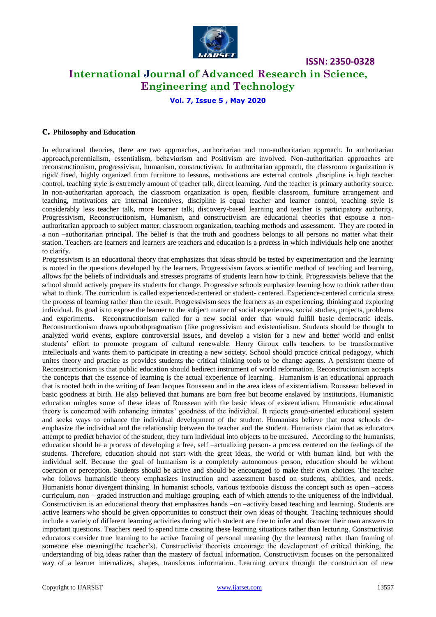

# **International Journal of Advanced Research in Science, Engineering and Technology**

**Vol. 7, Issue 5 , May 2020**

#### **c. Philosophy and Education**

In educational theories, there are two approaches, authoritarian and non-authoritarian approach. In authoritarian approach,perennialism, essentialism, behaviorism and Positivism are involved. Non-authoritarian approaches are reconstructionism, progressivism, humanism, constructivism. In authoritarian approach, the classroom organization is rigid/ fixed, highly organized from furniture to lessons, motivations are external controls ,discipline is high teacher control, teaching style is extremely amount of teacher talk, direct learning. And the teacher is primary authority source. In non-authoritarian approach, the classroom organization is open, flexible classroom, furniture arrangement and teaching, motivations are internal incentives, discipline is equal teacher and learner control, teaching style is considerably less teacher talk, more learner talk, discovery-based learning and teacher is participatory authority. Progressivism, Reconstructionism, Humanism, and constructivism are educational theories that espouse a nonauthoritarian approach to subject matter, classroom organization, teaching methods and assessment. They are rooted in a non –authoritarian principal. The belief is that the truth and goodness belongs to all persons no matter what their station. Teachers are learners and learners are teachers and education is a process in which individuals help one another to clarify.

Progressivism is an educational theory that emphasizes that ideas should be tested by experimentation and the learning is rooted in the questions developed by the learners. Progressivism favors scientific method of teaching and learning, allows for the beliefs of individuals and stresses programs of students learn how to think. Progressivists believe that the school should actively prepare its students for change. Progressive schools emphasize learning how to think rather than what to think. The curriculum is called experienced-centered or student- centered. Experience-centered curricula stress the process of learning rather than the result. Progressivism sees the learners as an experiencing, thinking and exploring individual. Its goal is to expose the learner to the subject matter of social experiences, social studies, projects, problems and experiments. Reconstructionism called for a new social order that would fulfill basic democratic ideals. Reconstructionism draws uponbothpragmatism (like progressivism and existentialism. Students should be thought to analyzed world events, explore controversial issues, and develop a vision for a new and better world and enlist students' effort to promote program of cultural renewable. Henry Giroux calls teachers to be transformative intellectuals and wants them to participate in creating a new society. School should practice critical pedagogy, which unites theory and practice as provides students the critical thinking tools to be change agents. A persistent theme of Reconstructionism is that public education should bedirect instrument of world reformation. Reconstrucionism accepts the concepts that the essence of learning is the actual experience of learning. Humanism is an educational approach that is rooted both in the writing of Jean Jacques Rousseau and in the area ideas of existentialism. Rousseau believed in basic goodness at birth. He also believed that humans are born free but become enslaved by institutions. Humanistic education mingles some of these ideas of Rousseau with the basic ideas of existentialism. Humanistic educational theory is concerned with enhancing inmates' goodness of the individual. It rejects group-oriented educational system and seeks ways to enhance the individual development of the student. Humanists believe that most schools deemphasize the individual and the relationship between the teacher and the student. Humanists claim that as educators attempt to predict behavior of the student, they turn individual into objects to be measured. According to the humanists, education should be a process of developing a free, self –actualizing person- a process centered on the feelings of the students. Therefore, education should not start with the great ideas, the world or with human kind, but with the individual self. Because the goal of humanism is a completely autonomous person, education should be without coercion or perception. Students should be active and should be encouraged to make their own choices. The teacher who follows humanistic theory emphasizes instruction and assessment based on students, abilities, and needs. Humanists honor divergent thinking. In humanist schools, various textbooks discuss the concept such as open –access curriculum, non – graded instruction and multiage grouping, each of which attends to the uniqueness of the individual. Constructivism is an educational theory that emphasizes hands –on –activity based teaching and learning. Students are active learners who should be given opportunities to construct their own ideas of thought. Teaching techniques should include a variety of different learning activities during which student are free to infer and discover their own answers to important questions. Teachers need to spend time creating these learning situations rather than lecturing. Constructivist educators consider true learning to be active framing of personal meaning (by the learners) rather than framing of someone else meaning(the teacher's). Constructivist theorists encourage the development of critical thinking, the understanding of big ideas rather than the mastery of factual information. Constructivism focuses on the personalized way of a learner internalizes, shapes, transforms information. Learning occurs through the construction of new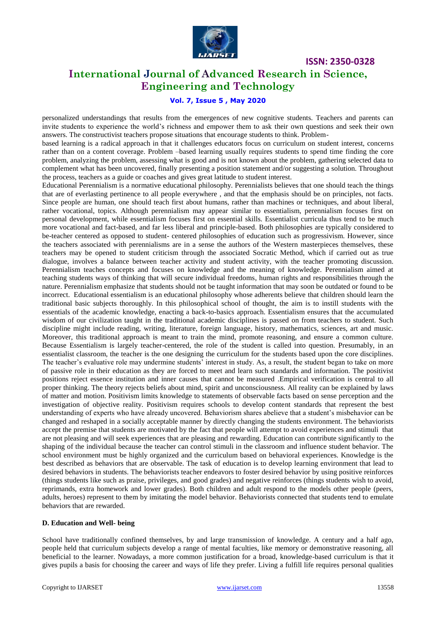

# **International Journal of Advanced Research in Science, Engineering and Technology**

### **Vol. 7, Issue 5 , May 2020**

personalized understandings that results from the emergences of new cognitive students. Teachers and parents can invite students to experience the world's richness and empower them to ask their own questions and seek their own answers. The constructivist teachers propose situations that encourage students to think. Problem-

based learning is a radical approach in that it challenges educators focus on curriculum on student interest, concerns rather than on a content coverage. Problem –based learning usually requires students to spend time finding the core problem, analyzing the problem, assessing what is good and is not known about the problem, gathering selected data to complement what has been uncovered, finally presenting a position statement and/or suggesting a solution. Throughout the process, teachers as a guide or coaches and gives great latitude to student interest.

Educational Perennialism is a normative educational philosophy. Perennialists believes that one should teach the things that are of everlasting pertinence to all people everywhere , and that the emphasis should be on principles, not facts. Since people are human, one should teach first about humans, rather than machines or techniques, and about liberal, rather vocational, topics. Although perennialism may appear similar to essentialism, perennialism focuses first on personal development, while essentialism focuses first on essential skills. Essentialist curricula thus tend to be much more vocational and fact-based, and far less liberal and principle-based. Both philosophies are typically considered to be-teacher centered as opposed to student- centered philosophies of education such as progressivism. However, since the teachers associated with perennialisms are in a sense the authors of the Western masterpieces themselves, these teachers may be opened to student criticism through the associated Socratic Method, which if carried out as true dialogue, involves a balance between teacher activity and student activity, with the teacher promoting discussion. Perennialism teaches concepts and focuses on knowledge and the meaning of knowledge. Perennialism aimed at teaching students ways of thinking that will secure individual freedoms, human rights and responsibilities through the nature. Perennialism emphasize that students should not be taught information that may soon be outdated or found to be incorrect. Educational essentialism is an educational philosophy whose adherents believe that children should learn the traditional basic subjects thoroughly. In this philosophical school of thought, the aim is to instill students with the essentials of the academic knowledge, enacting a back-to-basics approach. Essentialism ensures that the accumulated wisdom of our civilization taught in the traditional academic disciplines is passed on from teachers to student. Such discipline might include reading, writing, literature, foreign language, history, mathematics, sciences, art and music. Moreover, this traditional approach is meant to train the mind, promote reasoning, and ensure a common culture. Because Essentialism is largely teacher-centered, the role of the student is called into question. Presumably, in an essentialist classroom, the teacher is the one designing the curriculum for the students based upon the core disciplines. The teacher's evaluative role may undermine students' interest in study. As, a result, the student began to take on more of passive role in their education as they are forced to meet and learn such standards and information. The positivist positions reject essence institution and inner causes that cannot be measured .Empirical verification is central to all proper thinking. The theory rejects beliefs about mind, spirit and unconsciousness. All reality can be explained by laws of matter and motion. Positivism limits knowledge to statements of observable facts based on sense perception and the investigation of objective reality. Positivism requires schools to develop content standards that represent the best understanding of experts who have already uncovered. Behaviorism shares abelieve that a student's misbehavior can be changed and reshaped in a socially acceptable manner by directly changing the students environment. The behaviorists accept the premise that students are motivated by the fact that people will attempt to avoid experiences and stimuli that are not pleasing and will seek experiences that are pleasing and rewarding. Education can contribute significantly to the shaping of the individual because the teacher can control stimuli in the classroom and influence student behavior. The school environment must be highly organized and the curriculum based on behavioral experiences. Knowledge is the best described as behaviors that are observable. The task of education is to develop learning environment that lead to desired behaviors in students. The behaviorists teacher endeavors to foster desired behavior by using positive reinforces (things students like such as praise, privileges, and good grades) and negative reinforces (things students wish to avoid, reprimands, extra homework and lower grades). Both children and adult respond to the models other people (peers, adults, heroes) represent to them by imitating the model behavior. Behaviorists connected that students tend to emulate behaviors that are rewarded.

#### **D. Education and Well- being**

School have traditionally confined themselves, by and large transmission of knowledge. A century and a half ago, people held that curriculum subjects develop a range of mental faculties, like memory or demonstrative reasoning, all beneficial to the learner. Nowadays, a more common justification for a broad, knowledge-based curriculum is that it gives pupils a basis for choosing the career and ways of life they prefer. Living a fulfill life requires personal qualities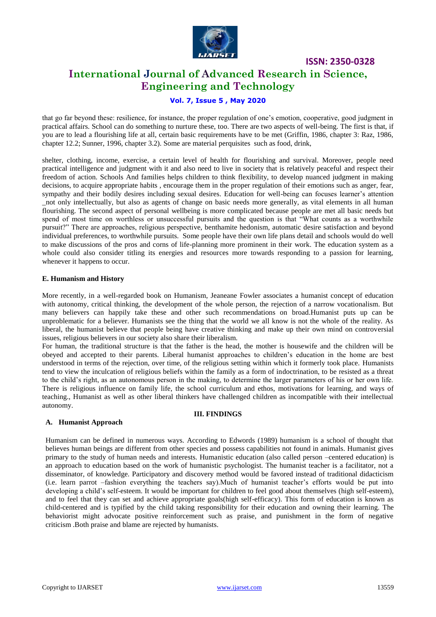

# **International Journal of Advanced Research in Science, Engineering and Technology**

### **Vol. 7, Issue 5 , May 2020**

that go far beyond these: resilience, for instance, the proper regulation of one's emotion, cooperative, good judgment in practical affairs. School can do something to nurture these, too. There are two aspects of well-being. The first is that, if you are to lead a flourishing life at all, certain basic requirements have to be met (Griffin, 1986, chapter 3: Raz, 1986, chapter 12.2; Sunner, 1996, chapter 3.2). Some are material perquisites such as food, drink,

shelter, clothing, income, exercise, a certain level of health for flourishing and survival. Moreover, people need practical intelligence and judgment with it and also need to live in society that is relatively peaceful and respect their freedom of action. Schools And families helps children to think flexibility, to develop nuanced judgment in making decisions, to acquire appropriate habits , encourage them in the proper regulation of their emotions such as anger, fear, sympathy and their bodily desires including sexual desires. Education for well-being can focuses learner's attention \_not only intellectually, but also as agents of change on basic needs more generally, as vital elements in all human flourishing. The second aspect of personal wellbeing is more complicated because people are met all basic needs but spend of most time on worthless or unsuccessful pursuits and the question is that "What counts as a worthwhile pursuit?" There are approaches, religious perspective, benthamite hedonism, automatic desire satisfaction and beyond individual preferences, to worthwhile pursuits. Some people have their own life plans detail and schools would do well to make discussions of the pros and corns of life-planning more prominent in their work. The education system as a whole could also consider titling its energies and resources more towards responding to a passion for learning, whenever it happens to occur.

#### **E. Humanism and History**

More recently, in a well-regarded book on Humanism, Jeaneane Fowler associates a humanist concept of education with autonomy, critical thinking, the development of the whole person, the rejection of a narrow vocationalism. But many believers can happily take these and other such recommendations on broad.Humanist puts up can be unproblematic for a believer. Humanists see the thing that the world we all know is not the whole of the reality. As liberal, the humanist believe that people being have creative thinking and make up their own mind on controversial issues, religious believers in our society also share their liberalism.

For human, the traditional structure is that the father is the head, the mother is housewife and the children will be obeyed and accepted to their parents. Liberal humanist approaches to children's education in the home are best understood in terms of the rejection, over time, of the religious setting within which it formerly took place. Humanists tend to view the inculcation of religious beliefs within the family as a form of indoctrination, to be resisted as a threat to the child's right, as an autonomous person in the making, to determine the larger parameters of his or her own life. There is religious influence on family life, the school curriculum and ethos, motivations for learning, and ways of teaching., Humanist as well as other liberal thinkers have challenged children as incompatible with their intellectual autonomy.

#### **A. Humanist Approach**

#### **III. FINDINGS**

Humanism can be defined in numerous ways. According to Edwords (1989) humanism is a school of thought that believes human beings are different from other species and possess capabilities not found in animals. Humanist gives primary to the study of human needs and interests. Humanistic education (also called person –centered education) is an approach to education based on the work of humanistic psychologist. The humanist teacher is a facilitator, not a disseminator, of knowledge. Participatory and discovery method would be favored instead of traditional didacticism (i.e. learn parrot –fashion everything the teachers say).Much of humanist teacher's efforts would be put into developing a child's self-esteem. It would be important for children to feel good about themselves (high self-esteem), and to feel that they can set and achieve appropriate goals(high self-efficacy). This form of education is known as child-centered and is typified by the child taking responsibility for their education and owning their learning. The behaviorist might advocate positive reinforcement such as praise, and punishment in the form of negative criticism .Both praise and blame are rejected by humanists.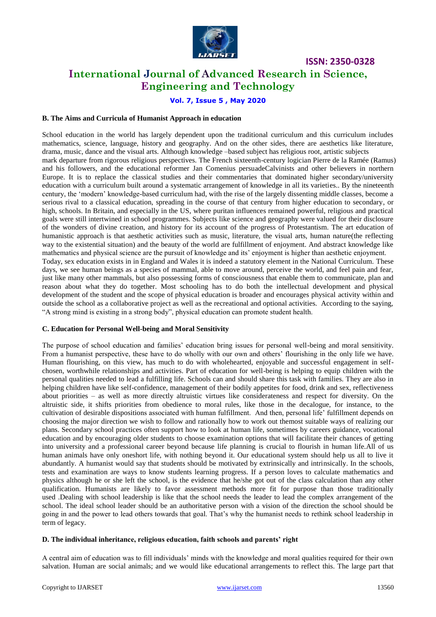

# **International Journal of Advanced Research in Science, Engineering and Technology**

### **Vol. 7, Issue 5 , May 2020**

#### **B. The Aims and Curricula of Humanist Approach in education**

School education in the world has largely dependent upon the traditional curriculum and this curriculum includes mathematics, science, language, history and geography. And on the other sides, there are aesthetics like literature, drama, music, dance and the visual arts. Although knowledge –based subject has religious root, artistic subjects mark departure from rigorous religious perspectives. The French sixteenth-century logician Pierre de la Ramée (Ramus) and his followers, and the educational reformer Jan Comenius persuadeCalvinists and other believers in northern Europe. It is to replace the classical studies and their commentaries that dominated higher secondary/university education with a curriculum built around a systematic arrangement of knowledge in all its varieties.. By the nineteenth century, the 'modern' knowledge-based curriculum had, with the rise of the largely dissenting middle classes, become a serious rival to a classical education, spreading in the course of that century from higher education to secondary, or high, schools. In Britain, and especially in the US, where puritan influences remained powerful, religious and practical goals were still intertwined in school programmes. Subjects like science and geography were valued for their disclosure of the wonders of divine creation, and history for its account of the progress of Protestantism. The art education of humanistic approach is that aesthetic activities such as music, literature, the visual arts, human nature(the reflecting way to the existential situation) and the beauty of the world are fulfillment of enjoyment. And abstract knowledge like mathematics and physical science are the pursuit of knowledge and its' enjoyment is higher than aesthetic enjoyment. Today, sex education exists in in England and Wales it is indeed a statutory element in the National Curriculum. These days, we see human beings as a species of mammal, able to move around, perceive the world, and feel pain and fear, just like many other mammals, but also possessing forms of consciousness that enable them to communicate, plan and reason about what they do together. Most schooling has to do both the intellectual development and physical development of the student and the scope of physical education is broader and encourages physical activity within and outside the school as a collaborative project as well as the recreational and optional activities. According to the saying, "A strong mind is existing in a strong body", physical education can promote student health.

#### **C. Education for Personal Well-being and Moral Sensitivity**

The purpose of school education and families' education bring issues for personal well-being and moral sensitivity. From a humanist perspective, these have to do wholly with our own and others' flourishing in the only life we have. Human flourishing, on this view, has much to do with wholehearted, enjoyable and successful engagement in selfchosen, worthwhile relationships and activities. Part of education for well-being is helping to equip children with the personal qualities needed to lead a fulfilling life. Schools can and should share this task with families. They are also in helping children have like self-confidence, management of their bodily appetites for food, drink and sex, reflectiveness about priorities – as well as more directly altruistic virtues like considerateness and respect for diversity. On the altruistic side, it shifts priorities from obedience to moral rules, like those in the decalogue, for instance, to the cultivation of desirable dispositions associated with human fulfillment. And then, personal life' fulfillment depends on choosing the major direction we wish to follow and rationally how to work out themost suitable ways of realizing our plans. Secondary school practices often support how to look at human life, sometimes by careers guidance, vocational education and by encouraging older students to choose examination options that will facilitate their chances of getting into university and a professional career beyond because life planning is crucial to flourish in human life.All of us human animals have only oneshort life, with nothing beyond it. Our educational system should help us all to live it abundantly. A humanist would say that students should be motivated by extrinsically and intrinsically. In the schools, tests and examination are ways to know students learning progress. If a person loves to calculate mathematics and physics although he or she left the school, is the evidence that he/she got out of the class calculation than any other qualification. Humanists are likely to favor assessment methods more fit for purpose than those traditionally used .Dealing with school leadership is like that the school needs the leader to lead the complex arrangement of the school. The ideal school leader should be an authoritative person with a vision of the direction the school should be going in and the power to lead others towards that goal. That's why the humanist needs to rethink school leadership in term of legacy.

#### **D. The individual inheritance, religious education, faith schools and parents' right**

A central aim of education was to fill individuals' minds with the knowledge and moral qualities required for their own salvation. Human are social animals; and we would like educational arrangements to reflect this. The large part that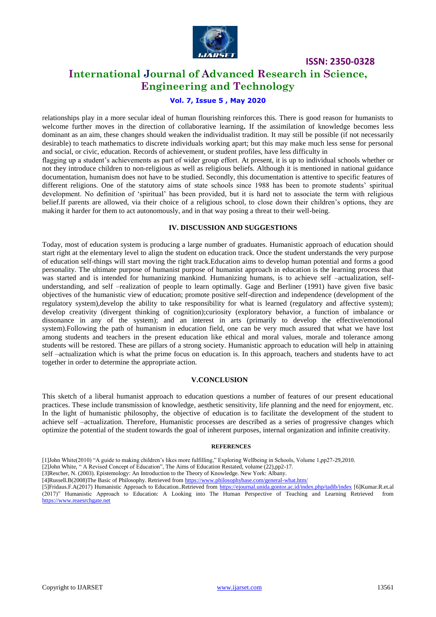

# **International Journal of Advanced Research in Science, Engineering and Technology**

### **Vol. 7, Issue 5 , May 2020**

relationships play in a more secular ideal of human flourishing reinforces this. There is good reason for humanists to welcome further moves in the direction of collaborative learning**.** If the assimilation of knowledge becomes less dominant as an aim, these changes should weaken the individualist tradition. It may still be possible (if not necessarily desirable) to teach mathematics to discrete individuals working apart; but this may make much less sense for personal and social, or civic, education. Records of achievement, or student profiles, have less difficulty in

flagging up a student's achievements as part of wider group effort. At present, it is up to individual schools whether or not they introduce children to non-religious as well as religious beliefs. Although it is mentioned in national guidance documentation, humanism does not have to be studied. Secondly, this documentation is attentive to specific features of different religions. One of the statutory aims of state schools since 1988 has been to promote students' spiritual development. No definition of 'spiritual' has been provided, but it is hard not to associate the term with religious belief.If parents are allowed, via their choice of a religious school, to close down their children's options, they are making it harder for them to act autonomously, and in that way posing a threat to their well-being.

#### **IV. DISCUSSION AND SUGGESTIONS**

Today, most of education system is producing a large number of graduates. Humanistic approach of education should start right at the elementary level to align the student on education track. Once the student understands the very purpose of education self-things will start moving the right track.Education aims to develop human potential and forms a good personality. The ultimate purpose of humanist purpose of humanist approach in education is the learning process that was started and is intended for humanizing mankind. Humanizing humans, is to achieve self –actualization, selfunderstanding, and self –realization of people to learn optimally. Gage and Berliner (1991) have given five basic objectives of the humanistic view of education; promote positive self-direction and independence (development of the regulatory system),develop the ability to take responsibility for what is learned (regulatory and affective system); develop creativity (divergent thinking of cognition);curiosity (exploratory behavior, a function of imbalance or dissonance in any of the system); and an interest in arts (primarily to develop the effective/emotional system).Following the path of humanism in education field, one can be very much assured that what we have lost among students and teachers in the present education like ethical and moral values, morale and tolerance among students will be restored. These are pillars of a strong society. Humanistic approach to education will help in attaining self –actualization which is what the prime focus on education is. In this approach, teachers and students have to act together in order to determine the appropriate action.

#### **V.CONCLUSION**

This sketch of a liberal humanist approach to education questions a number of features of our present educational practices. These include transmission of knowledge, aesthetic sensitivity, life planning and the need for enjoyment, etc. In the light of humanistic philosophy, the objective of education is to facilitate the development of the student to achieve self –actualization. Therefore, Humanistic processes are described as a series of progressive changes which optimize the potential of the student towards the goal of inherent purposes, internal organization and infinite creativity.

#### **REFERENCES**

[2]John White, " A Revised Concept of Education", The Aims of Education Restated, volume (22),pp2-17.

[5]Fridaus.F.A(2017) Humanistic Approach to Education..Retrieved from<https://ejournal.unida.gontor.ac.id/index.php/tadib/index> [6]Kumar.R.et.al (2017)" Humanistic Approach to Education: A Looking into The Human Perspective of Teaching and Learning Retrieved from [https://www.reaesrchgate.net](https://www.reaesrchgate.net/)

<sup>[1]</sup>John White(2010) "A guide to making children's likes more fulfilling," Exploring Wellbeing in Schools, Volume 1,pp27-29,2010.

<sup>[3]</sup>Rescher, N. (2003). Epistemology: An Introduction to the Theory of Knowledge. New York: Albany.

<sup>[4]</sup>Russell.B(2008)The Basic of Philosophy. Retrieved fro[m https://www.philosophybase.com/general-what.htm/](https://www.philosophybase.com/general-what.htm/)